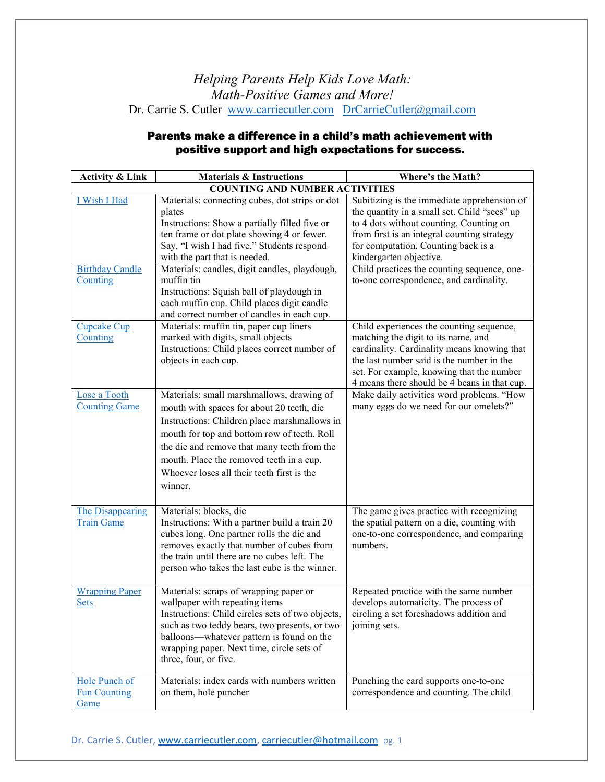## *Helping Parents Help Kids Love Math: Math-Positive Games and More!* Dr. Carrie S. Cutler [www.carriecutler.com](http://www.carriecutler.com/) [DrCarrieCutler@gmail.com](mailto:DrCarrieCutler@gmail.com)

## Parents make a difference in a child's math achievement with positive support and high expectations for success.

| <b>Activity &amp; Link</b>                         | <b>Materials &amp; Instructions</b>                                                                                                                                                                                                                                                                                                                                                                                                            | Where's the Math?                                                                                                                                                                                                                                                                                                                                                                             |  |  |
|----------------------------------------------------|------------------------------------------------------------------------------------------------------------------------------------------------------------------------------------------------------------------------------------------------------------------------------------------------------------------------------------------------------------------------------------------------------------------------------------------------|-----------------------------------------------------------------------------------------------------------------------------------------------------------------------------------------------------------------------------------------------------------------------------------------------------------------------------------------------------------------------------------------------|--|--|
| <b>COUNTING AND NUMBER ACTIVITIES</b>              |                                                                                                                                                                                                                                                                                                                                                                                                                                                |                                                                                                                                                                                                                                                                                                                                                                                               |  |  |
| I Wish I Had<br><b>Birthday Candle</b><br>Counting | Materials: connecting cubes, dot strips or dot<br>plates<br>Instructions: Show a partially filled five or<br>ten frame or dot plate showing 4 or fewer.<br>Say, "I wish I had five." Students respond<br>with the part that is needed.<br>Materials: candles, digit candles, playdough,<br>muffin tin<br>Instructions: Squish ball of playdough in<br>each muffin cup. Child places digit candle<br>and correct number of candles in each cup. | Subitizing is the immediate apprehension of<br>the quantity in a small set. Child "sees" up<br>to 4 dots without counting. Counting on<br>from first is an integral counting strategy<br>for computation. Counting back is a<br>kindergarten objective.<br>Child practices the counting sequence, one-<br>to-one correspondence, and cardinality.<br>Child experiences the counting sequence, |  |  |
| Cupcake Cup<br>Counting                            | Materials: muffin tin, paper cup liners<br>marked with digits, small objects<br>Instructions: Child places correct number of<br>objects in each cup.                                                                                                                                                                                                                                                                                           | matching the digit to its name, and<br>cardinality. Cardinality means knowing that<br>the last number said is the number in the<br>set. For example, knowing that the number<br>4 means there should be 4 beans in that cup.                                                                                                                                                                  |  |  |
| Lose a Tooth<br><b>Counting Game</b>               | Materials: small marshmallows, drawing of<br>mouth with spaces for about 20 teeth, die<br>Instructions: Children place marshmallows in<br>mouth for top and bottom row of teeth. Roll<br>the die and remove that many teeth from the<br>mouth. Place the removed teeth in a cup.<br>Whoever loses all their teeth first is the<br>winner.                                                                                                      | Make daily activities word problems. "How<br>many eggs do we need for our omelets?"                                                                                                                                                                                                                                                                                                           |  |  |
| The Disappearing<br><b>Train Game</b>              | Materials: blocks, die<br>Instructions: With a partner build a train 20<br>cubes long. One partner rolls the die and<br>removes exactly that number of cubes from<br>the train until there are no cubes left. The<br>person who takes the last cube is the winner.                                                                                                                                                                             | The game gives practice with recognizing<br>the spatial pattern on a die, counting with<br>one-to-one correspondence, and comparing<br>numbers.                                                                                                                                                                                                                                               |  |  |
| <b>Wrapping Paper</b><br><b>Sets</b>               | Materials: scraps of wrapping paper or<br>wallpaper with repeating items<br>Instructions: Child circles sets of two objects,<br>such as two teddy bears, two presents, or two<br>balloons—whatever pattern is found on the<br>wrapping paper. Next time, circle sets of<br>three, four, or five.                                                                                                                                               | Repeated practice with the same number<br>develops automaticity. The process of<br>circling a set foreshadows addition and<br>joining sets.                                                                                                                                                                                                                                                   |  |  |
| Hole Punch of<br><b>Fun Counting</b><br>Game       | Materials: index cards with numbers written<br>on them, hole puncher                                                                                                                                                                                                                                                                                                                                                                           | Punching the card supports one-to-one<br>correspondence and counting. The child                                                                                                                                                                                                                                                                                                               |  |  |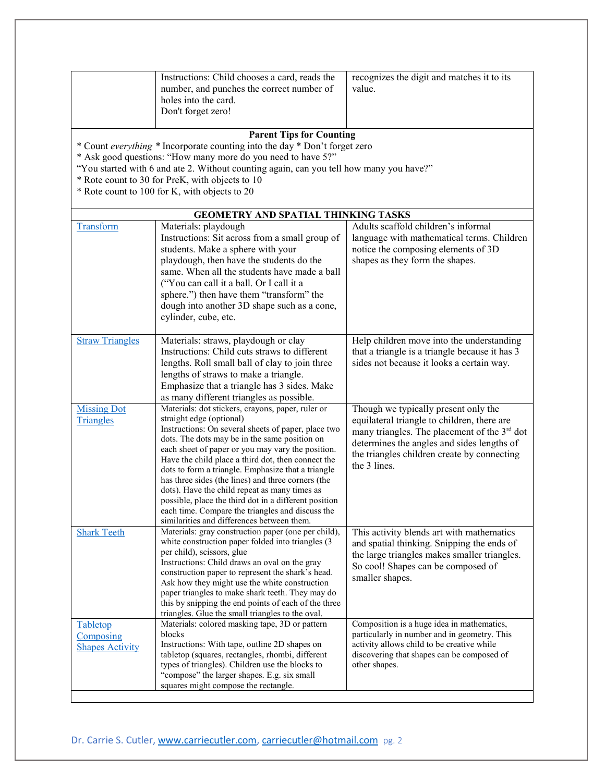|                        | Instructions: Child chooses a card, reads the                                                            | recognizes the digit and matches it to its               |
|------------------------|----------------------------------------------------------------------------------------------------------|----------------------------------------------------------|
|                        | number, and punches the correct number of<br>holes into the card.                                        | value.                                                   |
|                        | Don't forget zero!                                                                                       |                                                          |
|                        |                                                                                                          |                                                          |
|                        | <b>Parent Tips for Counting</b>                                                                          |                                                          |
|                        | * Count everything * Incorporate counting into the day * Don't forget zero                               |                                                          |
|                        | * Ask good questions: "How many more do you need to have 5?"                                             |                                                          |
|                        | "You started with 6 and ate 2. Without counting again, can you tell how many you have?"                  |                                                          |
|                        | * Rote count to 30 for PreK, with objects to 10                                                          |                                                          |
|                        | * Rote count to 100 for K, with objects to 20                                                            |                                                          |
|                        |                                                                                                          |                                                          |
|                        | GEOMETRY AND SPATIAL THINKING TASKS                                                                      |                                                          |
| Transform              | Materials: playdough                                                                                     | Adults scaffold children's informal                      |
|                        | Instructions: Sit across from a small group of                                                           | language with mathematical terms. Children               |
|                        | students. Make a sphere with your                                                                        | notice the composing elements of 3D                      |
|                        | playdough, then have the students do the                                                                 | shapes as they form the shapes.                          |
|                        | same. When all the students have made a ball                                                             |                                                          |
|                        | ("You can call it a ball. Or I call it a                                                                 |                                                          |
|                        | sphere.") then have them "transform" the                                                                 |                                                          |
|                        | dough into another 3D shape such as a cone,                                                              |                                                          |
|                        | cylinder, cube, etc.                                                                                     |                                                          |
| <b>Straw Triangles</b> | Materials: straws, playdough or clay                                                                     | Help children move into the understanding                |
|                        | Instructions: Child cuts straws to different                                                             | that a triangle is a triangle because it has 3           |
|                        | lengths. Roll small ball of clay to join three                                                           | sides not because it looks a certain way.                |
|                        | lengths of straws to make a triangle.                                                                    |                                                          |
|                        | Emphasize that a triangle has 3 sides. Make                                                              |                                                          |
|                        | as many different triangles as possible.                                                                 |                                                          |
| <b>Missing Dot</b>     | Materials: dot stickers, crayons, paper, ruler or                                                        | Though we typically present only the                     |
| Triangles              | straight edge (optional)                                                                                 | equilateral triangle to children, there are              |
|                        | Instructions: On several sheets of paper, place two                                                      | many triangles. The placement of the 3 <sup>rd</sup> dot |
|                        | dots. The dots may be in the same position on                                                            | determines the angles and sides lengths of               |
|                        | each sheet of paper or you may vary the position.<br>Have the child place a third dot, then connect the  | the triangles children create by connecting              |
|                        | dots to form a triangle. Emphasize that a triangle                                                       | the 3 lines.                                             |
|                        | has three sides (the lines) and three corners (the                                                       |                                                          |
|                        | dots). Have the child repeat as many times as                                                            |                                                          |
|                        | possible, place the third dot in a different position                                                    |                                                          |
|                        | each time. Compare the triangles and discuss the                                                         |                                                          |
|                        | similarities and differences between them.                                                               |                                                          |
| <b>Shark Teeth</b>     | Materials: gray construction paper (one per child),<br>white construction paper folded into triangles (3 | This activity blends art with mathematics                |
|                        | per child), scissors, glue                                                                               | and spatial thinking. Snipping the ends of               |
|                        | Instructions: Child draws an oval on the gray                                                            | the large triangles makes smaller triangles.             |
|                        | construction paper to represent the shark's head.                                                        | So cool! Shapes can be composed of                       |
|                        | Ask how they might use the white construction                                                            | smaller shapes.                                          |
|                        | paper triangles to make shark teeth. They may do                                                         |                                                          |
|                        | this by snipping the end points of each of the three                                                     |                                                          |
| Tabletop               | triangles. Glue the small triangles to the oval.<br>Materials: colored masking tape, 3D or pattern       | Composition is a huge idea in mathematics,               |
| Composing              | blocks                                                                                                   | particularly in number and in geometry. This             |
| <b>Shapes Activity</b> | Instructions: With tape, outline 2D shapes on                                                            | activity allows child to be creative while               |
|                        | tabletop (squares, rectangles, rhombi, different                                                         | discovering that shapes can be composed of               |
|                        | types of triangles). Children use the blocks to                                                          | other shapes.                                            |
|                        | "compose" the larger shapes. E.g. six small                                                              |                                                          |
|                        | squares might compose the rectangle.                                                                     |                                                          |